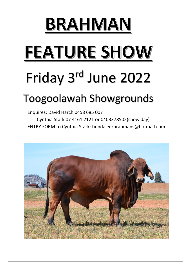# BRAHMAN

# FEATURE SHOW

## Friday 3<sup>rd</sup> June 2022

## Toogoolawah Showgrounds

Enquires: David Harch 0458 685 007 Cynthia Stark 07 4161 2121 or 0403378502(show day) ENTRY FORM to Cynthia Stark: bundaleerbrahmans@hotmail.com

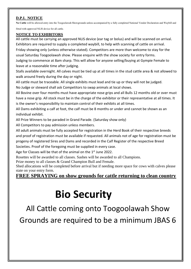#### **D.P.I. NOTICE**

**No Cattle** will be allowed entry into the Toogoolawah Showgrounds unless accompanied by a fully completed National Vendor Declaration and Waybill and

fitted with approved NLIS device for all cattle.

#### **NOTICE TO EXHIBITORS**

All cattle must be carrying an approved NLIS device (ear tag or bolus) and will be scanned on arrival. Exhibitors are required to supply a completed waybill, to help with scanning of cattle on arrival. Friday showing only (unless otherwise stated). Competitors are more than welcome to stay for the usual Saturday Toogoolawah show. Please enquire with the show society for entry forms.

Judging to commence at 8am sharp. This will allow for anyone selling/buying at Gympie Female to leave at a reasonable time after judging.

Stalls available overnight. All calves must be tied up at all times in the stud cattle area & not allowed to walk around freely during the day or night.

All cattle must be traceable. All single exhibits must lead and tie up or they will not be judged. No Judge or steward shall ask Competitors to swap animals at local shows.

All Bovine over four months must have appropriate nose grips and all Bulls 12 months old or over must have a nose grip. All stock must be in the charge of the exhibitor or their representative at all times. It is the owner's responsibility to maintain control of their exhibits at all times.

All Dams exhibiting a calf at foot, the calf must be 8 months or under and cannot be shown as an individual exhibit.

All Prize Winners to be paraded in Grand Parade. (Saturday show only)

All Competitors to pay admission unless members.

All adult animals must be fully accepted for registration in the Herd Book of their respective breeds and proof of registration must be available if requested. All animals not of age for registration must be progeny of registered Sires and Dams and recorded in the Calf Register of the respective Breed Societies. Proof of the foregoing must be supplied in every case.

Age for Classes will be that of the animal on the 1<sup>st</sup> June 2022.

Rosettes will be awarded to all classes. Sashes will be awarded to all Champions.

Prize money to all classes & Grand Champion Bull and Female.

Shed allocations will be completed before arrival but if needing more space for cows with calves please state on your entry form.

#### **FREE SPRAYING on show grounds for cattle returning to clean country**

### **Bio Security**

All Cattle coming onto Toogoolawah Show Grounds are required to be a minimum JBAS 6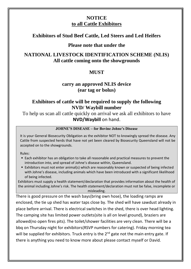### **NOTICE to all Cattle Exhibitors**

#### **Exhibitors of Stud Beef Cattle, Led Steers and Led Heifers**

#### **Please note that under the**

### **NATIONAL LIVESTOCK IDENTIFICATION SCHEME (NLIS) All cattle coming onto the showgrounds**

#### **MUST**

#### **carry an approved NLIS device (ear tag or bolus)**

#### **Exhibitors of cattle will be required to supply the following NVD/ Waybill number**

To help us scan all cattle quickly on arrival we ask all exhibitors to have **NVD/Waybill** on hand.

#### **JOHNE'S DISEASE – for Bovine Johne's Disease**

It is your General Biosecurity Obligation as the exhibitor NOT to knowingly spread the disease. Any Cattle from suspected herds that have not yet been cleared by Biosecurity Queensland will not be accepted on to the showgrounds.

Rules:

- Each exhibitor has an obligation to take all reasonable and practical measures to prevent the introduction into, and spread of Johne's disease within, Queensland.
- Exhibitors must not enter animal(s) which are reasonably known or suspected of being infected with Johne's disease, including animals which have been introduced with a significant likelihood of being infected.

Exhibitors must supply a health statement/declaration that provides information about the health of the animal including Johne's risk. The health statement/declaration must not be false, incomplete or misleading.

There is good pressure on the wash bays(bring own hose), the loading ramps are enclosed, the tie up shed has water taps close by. The shed will have sawdust already in place before arrival. There is electrical switches in the shed, there is over head lighting. The camping site has limited power outlets(site is all on level ground), braziers are allowed(no open fires pits). The toilet/shower facilities are very clean. There will be a bbq on Thursday night for exhibitors(RSVP numbers for catering). Friday morning tea will be supplied for exhibitors. Truck entry is the  $2^{nd}$  gate not the main entry gate. If there is anything you need to know more about please contact myself or David.